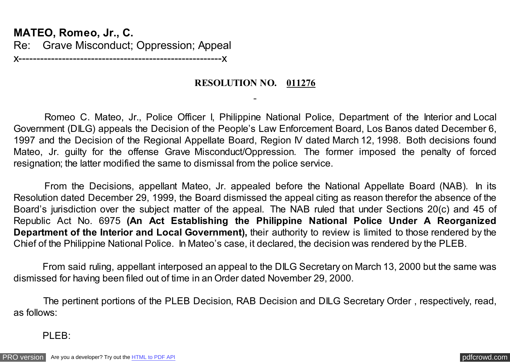**MATEO, Romeo, Jr., C.** Re: Grave Misconduct; Oppression; Appeal x--------------------------------------------------------x

**RESOLUTION NO. 011276**

 Romeo C. Mateo, Jr., Police Officer I, Philippine National Police, Department of the Interior and Local Government (DILG) appeals the Decision of the People's Law Enforcement Board, Los Banos dated December 6, 1997 and the Decision of the Regional Appellate Board, Region IV dated March 12, 1998. Both decisions found Mateo, Jr. guilty for the offense Grave Misconduct/Oppression. The former imposed the penalty of forced resignation; the latter modified the same to dismissal from the police service.

 From the Decisions, appellant Mateo, Jr. appealed before the National Appellate Board (NAB). In its Resolution dated December 29, 1999, the Board dismissed the appeal citing as reason therefor the absence of the Board's jurisdiction over the subject matter of the appeal. The NAB ruled that under Sections 20(c) and 45 of Republic Act No. 6975 **(An Act Establishing the Philippine National Police Under A Reorganized Department of the Interior and Local Government),** their authority to review is limited to those rendered by the Chief of the Philippine National Police. In Mateo's case, it declared, the decision was rendered by the PLEB.

From said ruling, appellant interposed an appeal to the DILG Secretary on March 13, 2000 but the same was dismissed for having been filed out of time in an Order dated November 29, 2000.

 The pertinent portions of the PLEB Decision, RAB Decision and DILG Secretary Order , respectively, read, as follows:

PLEB: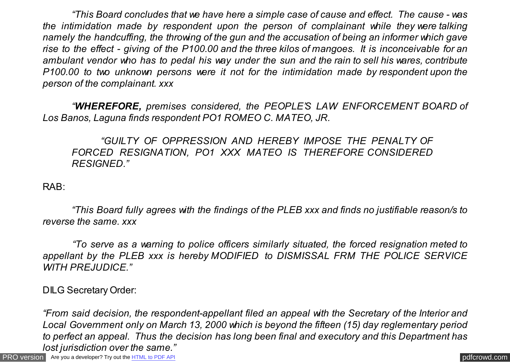*"This Board concludes that we have here a simple case of cause and effect. The cause - was the intimidation made by respondent upon the person of complainant while they were talking namely the handcuffing, the throwing of the gun and the accusation of being an informer which gave rise to the effect - giving of the P100.00 and the three kilos of mangoes. It is inconceivable for an ambulant vendor who has to pedal his way under the sun and the rain to sell his wares, contribute P100.00 to two unknown persons were it not for the intimidation made by respondent upon the person of the complainant. xxx*

*"WHEREFORE, premises considered, the PEOPLE'S LAW ENFORCEMENT BOARD of Los Banos, Laguna finds respondent PO1 ROMEO C. MATEO, JR.*

*"GUILTY OF OPPRESSION AND HEREBY IMPOSE THE PENALTY OF FORCED RESIGNATION, PO1 XXX MATEO IS THEREFORE CONSIDERED RESIGNED."*

RAB:

 *"This Board fully agrees with the findings of the PLEB xxx and finds no justifiable reason/s to reverse the same. xxx*

 *"To serve as a warning to police officers similarly situated, the forced resignation meted to appellant by the PLEB xxx is hereby MODIFIED to DISMISSAL FRM THE POLICE SERVICE WITH PREJUDICE."*

DILG Secretary Order:

 *"From said decision, the respondent-appellant filed an appeal with the Secretary of the Interior and Local Government only on March 13, 2000 which is beyond the fifteen (15) day reglementary period to perfect an appeal. Thus the decision has long been final and executory and this Department has lost jurisdiction over the same."*

[PRO version](http://pdfcrowd.com/customize/) Are you a developer? Try out th[e HTML to PDF API](http://pdfcrowd.com/html-to-pdf-api/?ref=pdf) contract the contract of the HTML to PDF API [pdfcrowd.com](http://pdfcrowd.com)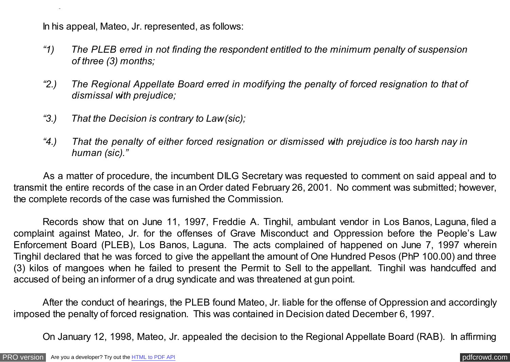In his appeal, Mateo, Jr. represented, as follows:

*lost jurisdiction over the same."*

- *"1) The PLEB erred in not finding the respondent entitled to the minimum penalty of suspension of three (3) months;*
- *"2.) The Regional Appellate Board erred in modifying the penalty of forced resignation to that of dismissal with prejudice;*
- *"3.) That the Decision is contrary to Law (sic);*
- *"4.) That the penalty of either forced resignation or dismissed with prejudice is too harsh nay in human (sic)."*

As a matter of procedure, the incumbent DILG Secretary was requested to comment on said appeal and to transmit the entire records of the case in an Order dated February 26, 2001. No comment was submitted; however, the complete records of the case was furnished the Commission.

Records show that on June 11, 1997, Freddie A. Tinghil, ambulant vendor in Los Banos, Laguna, filed a complaint against Mateo, Jr. for the offenses of Grave Misconduct and Oppression before the People's Law Enforcement Board (PLEB), Los Banos, Laguna. The acts complained of happened on June 7, 1997 wherein Tinghil declared that he was forced to give the appellant the amount of One Hundred Pesos (PhP 100.00) and three (3) kilos of mangoes when he failed to present the Permit to Sell to the appellant. Tinghil was handcuffed and accused of being an informer of a drug syndicate and was threatened at gun point.

 After the conduct of hearings, the PLEB found Mateo, Jr. liable for the offense of Oppression and accordingly imposed the penalty of forced resignation. This was contained in Decision dated December 6, 1997.

On January 12, 1998, Mateo, Jr. appealed the decision to the Regional Appellate Board (RAB). In affirming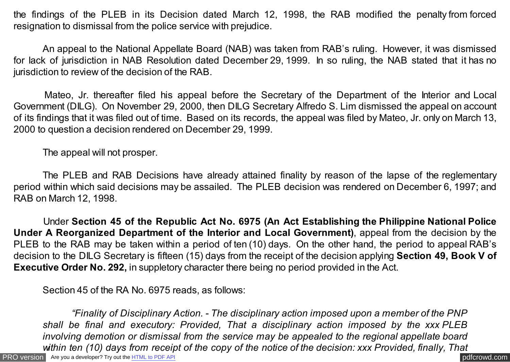the findings of the PLEB in its Decision dated March 12, 1998, the RAB modified the penalty from forced resignation to dismissal from the police service with prejudice.

 An appeal to the National Appellate Board (NAB) was taken from RAB's ruling. However, it was dismissed for lack of jurisdiction in NAB Resolution dated December 29, 1999. In so ruling, the NAB stated that it has no jurisdiction to review of the decision of the RAB.

 Mateo, Jr. thereafter filed his appeal before the Secretary of the Department of the Interior and Local Government (DILG). On November 29, 2000, then DILG Secretary Alfredo S. Lim dismissed the appeal on account of its findings that it was filed out of time. Based on its records, the appeal was filed by Mateo, Jr. only on March 13, 2000 to question a decision rendered on December 29, 1999.

The appeal will not prosper.

The PLEB and RAB Decisions have already attained finality by reason of the lapse of the reglementary period within which said decisions may be assailed. The PLEB decision was rendered on December 6, 1997; and RAB on March 12, 1998.

 Under **Section 45 of the Republic Act No. 6975 (An Act Establishing the Philippine National Police Under A Reorganized Department of the Interior and Local Government)**, appeal from the decision by the PLEB to the RAB may be taken within a period of ten (10) days. On the other hand, the period to appeal RAB's decision to the DILG Secretary is fifteen (15) days from the receipt of the decision applying **Section 49, Book V of Executive Order No. 292,** in suppletory character there being no period provided in the Act.

Section 45 of the RA No. 6975 reads, as follows:

[PRO version](http://pdfcrowd.com/customize/) Are you a developer? Try out th[e HTML to PDF API](http://pdfcrowd.com/html-to-pdf-api/?ref=pdf) contract the contract of the HTML to PDF API [pdfcrowd.com](http://pdfcrowd.com) *"Finality of Disciplinary Action. - The disciplinary action imposed upon a member of the PNP shall be final and executory: Provided, That a disciplinary action imposed by the xxx PLEB involving demotion or dismissal from the service may be appealed to the regional appellate board within ten (10) days from receipt of the copy of the notice of the decision: xxx Provided, finally, That*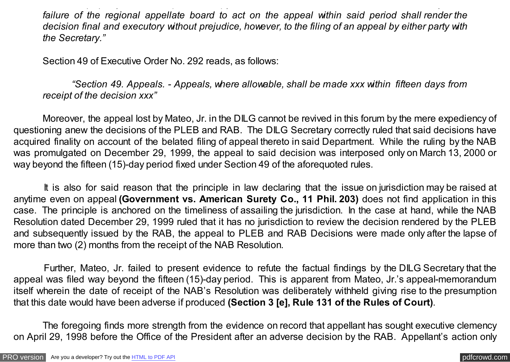*failure of the regional appellate board to act on the appeal within said period shall render the decision final and executory without prejudice, however, to the filing of an appeal by either party with the Secretary."*

*within ten (10) days from receipt of the copy of the notice of the decision: xxx Provided, finally, That*

Section 49 of Executive Order No. 292 reads, as follows:

 *"Section 49. Appeals. - Appeals, where allowable, shall be made xxx within fifteen days from receipt of the decision xxx"*

 Moreover, the appeal lost by Mateo, Jr. in the DILG cannot be revived in this forum by the mere expediency of questioning anew the decisions of the PLEB and RAB. The DILG Secretary correctly ruled that said decisions have acquired finality on account of the belated filing of appeal thereto in said Department. While the ruling by the NAB was promulgated on December 29, 1999, the appeal to said decision was interposed only on March 13, 2000 or way beyond the fifteen (15)-day period fixed under Section 49 of the aforequoted rules.

 It is also for said reason that the principle in law declaring that the issue on jurisdiction may be raised at anytime even on appeal **(Government vs. American Surety Co., 11 Phil. 203)** does not find application in this case. The principle is anchored on the timeliness of assailing the jurisdiction. In the case at hand, while the NAB Resolution dated December 29, 1999 ruled that it has no jurisdiction to review the decision rendered by the PLEB and subsequently issued by the RAB, the appeal to PLEB and RAB Decisions were made only after the lapse of more than two (2) months from the receipt of the NAB Resolution.

 Further, Mateo, Jr. failed to present evidence to refute the factual findings by the DILG Secretary that the appeal was filed way beyond the fifteen (15)-day period. This is apparent from Mateo, Jr.'s appeal-memorandum itself wherein the date of receipt of the NAB's Resolution was deliberately withheld giving rise to the presumption that this date would have been adverse if produced **(Section 3 [e], Rule 131 of the Rules of Court)**.

 The foregoing finds more strength from the evidence on record that appellant has sought executive clemency on April 29, 1998 before the Office of the President after an adverse decision by the RAB. Appellant's action only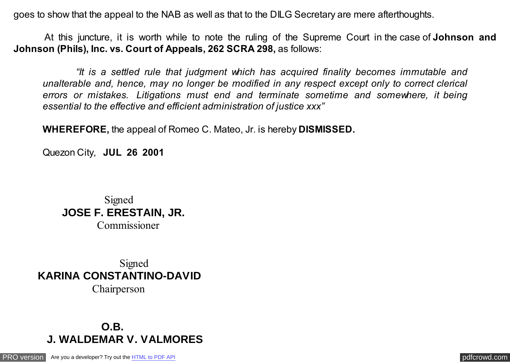goes to show that the appeal to the NAB as well as that to the DILG Secretary are mere afterthoughts.

 At this juncture, it is worth while to note the ruling of the Supreme Court in the case of **Johnson and Johnson (Phils), Inc. vs. Court of Appeals, 262 SCRA 298,** as follows:

 *"It is a settled rule that judgment which has acquired finality becomes immutable and unalterable and, hence, may no longer be modified in any respect except only to correct clerical errors or mistakes. Litigations must end and terminate sometime and somewhere, it being essential to the effective and efficient administration of justice xxx"*

**WHEREFORE,** the appeal of Romeo C. Mateo, Jr. is hereby **DISMISSED.**

Quezon City, **JUL 26 2001**

 Signed **JOSE F. ERESTAIN, JR.** Commissioner

 Signed **KARINA CONSTANTINO-DAVID** Chairperson

## **O.B. J. WALDEMAR V. VALMORES**

[PRO version](http://pdfcrowd.com/customize/) Are you a developer? Try out th[e HTML to PDF API](http://pdfcrowd.com/html-to-pdf-api/?ref=pdf) contract the community of the HTML to PDF API [pdfcrowd.com](http://pdfcrowd.com)